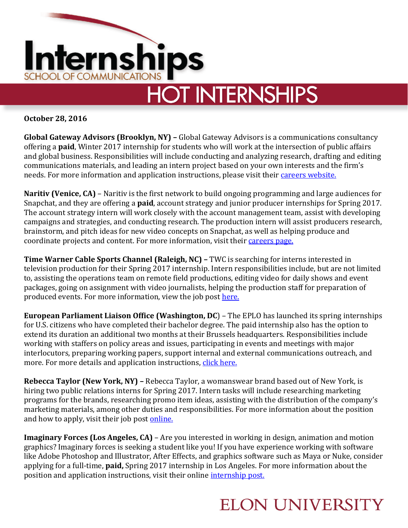

**October 28, 2016**

**Global Gateway Advisors (Brooklyn, NY) –** Global Gateway Advisors is a communications consultancy offering a **paid**, Winter 2017 internship for students who will work at the intersection of public affairs and global business. Responsibilities will include conducting and analyzing research, drafting and editing communications materials, and leading an intern project based on your own interests and the firm's needs. For more information and application instructions, please visit their [careers website.](http://globalgatewayadvisors.com/careers/)

**Naritiv (Venice, CA)** – Naritiv is the first network to build ongoing programming and large audiences for Snapchat, and they are offering a **paid**, account strategy and junior producer internships for Spring 2017. The account strategy intern will work closely with the account management team, assist with developing campaigns and strategies, and conducting research. The production intern will assist producers research, brainstorm, and pitch ideas for new video concepts on Snapchat, as well as helping produce and coordinate projects and content. For more information, visit their [careers page.](http://naritiv.applytojob.com/)

**Time Warner Cable Sports Channel (Raleigh, NC) –** TWC is searching for interns interested in television production for their Spring 2017 internship. Intern responsibilities include, but are not limited to, assisting the operations team on remote field productions, editing video for daily shows and event packages, going on assignment with video journalists, helping the production staff for preparation of produced events. For more information, view the job post [here.](https://jobs.timewarnercable.com/job/-/-/4673/3249771)

**European Parliament Liaison Office (Washington, DC**) – The EPLO has launched its spring internships for U.S. citizens who have completed their bachelor degree. The paid internship also has the option to extend its duration an additional two months at their Brussels headquarters. Responsibilities include working with staffers on policy areas and issues, participating in events and meetings with major interlocutors, preparing working papers, support internal and external communications outreach, and more. For more details and application instructions, [click here.](http://www.europarl.europa.eu/us/en/home/internships.html)

**Rebecca Taylor (New York, NY) –** Rebecca Taylor, a womanswear brand based out of New York, is hiring two public relations interns for Spring 2017. Intern tasks will include researching marketing programs for the brands, researching promo item ideas, assisting with the distribution of the company's marketing materials, among other duties and responsibilities. For more information about the position and how to apply, visit their job post [online.](https://rebeccataylor-kellwood.icims.com/jobs/3375/spring-2017-pr-internship/job?mobile=false&width=821&height=500&bga=true&needsRedirect=false&jan1offset=-300&jun1offset=-240)

**Imaginary Forces (Los Angeles, CA) – Are you interested in working in design, animation and motion** graphics? Imaginary forces is seeking a student like you! If you have experience working with software like Adobe Photoshop and Illustrator, After Effects, and graphics software such as Maya or Nuke, consider applying for a full-time, **paid,** Spring 2017 internship in Los Angeles. For more information about the position and application instructions, visit their online [internship](https://imaginaryforces.com/jobs/27) post.

## **ELON UNIVERSITY**